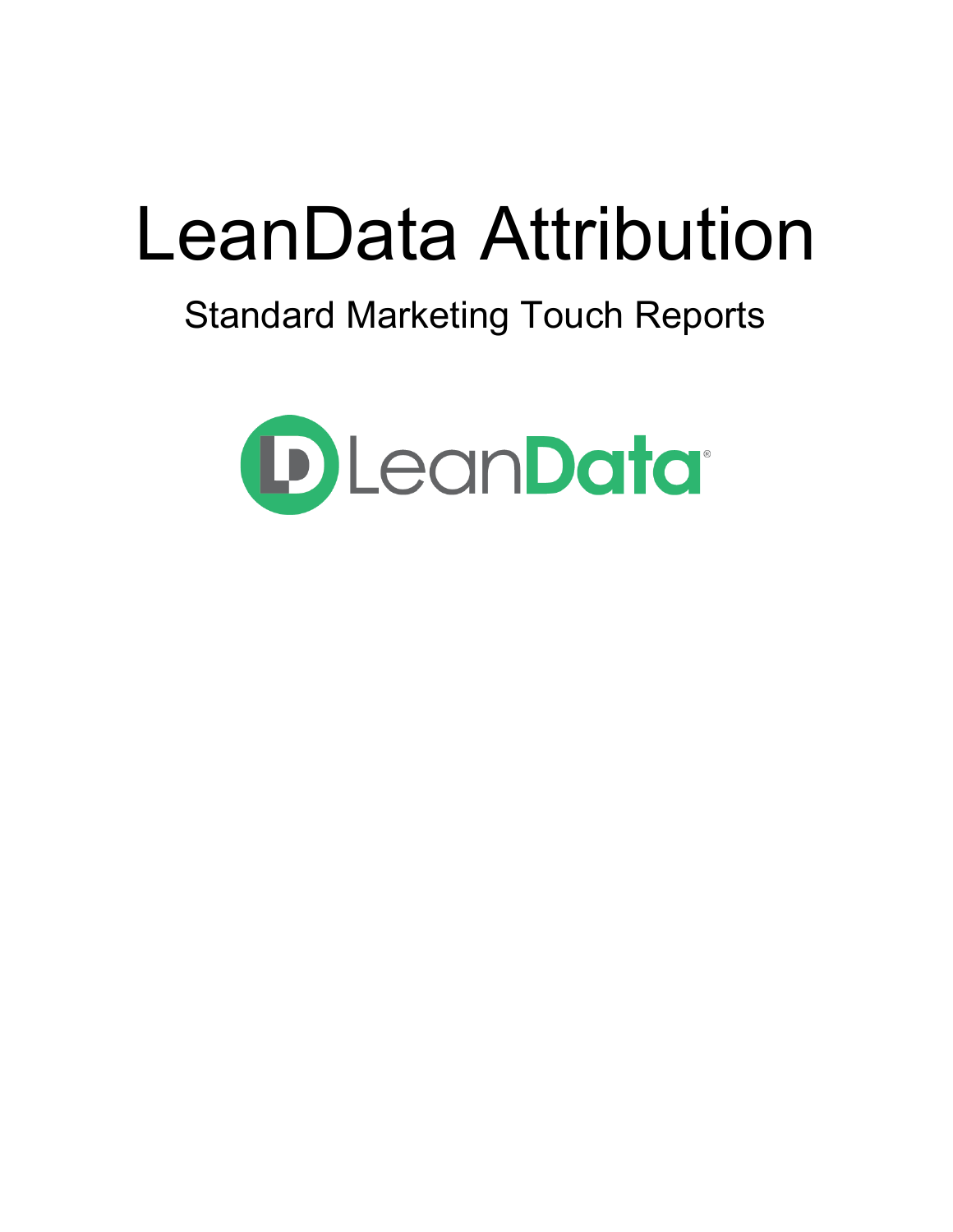# LeanData Attribution

# Standard Marketing Touch Reports

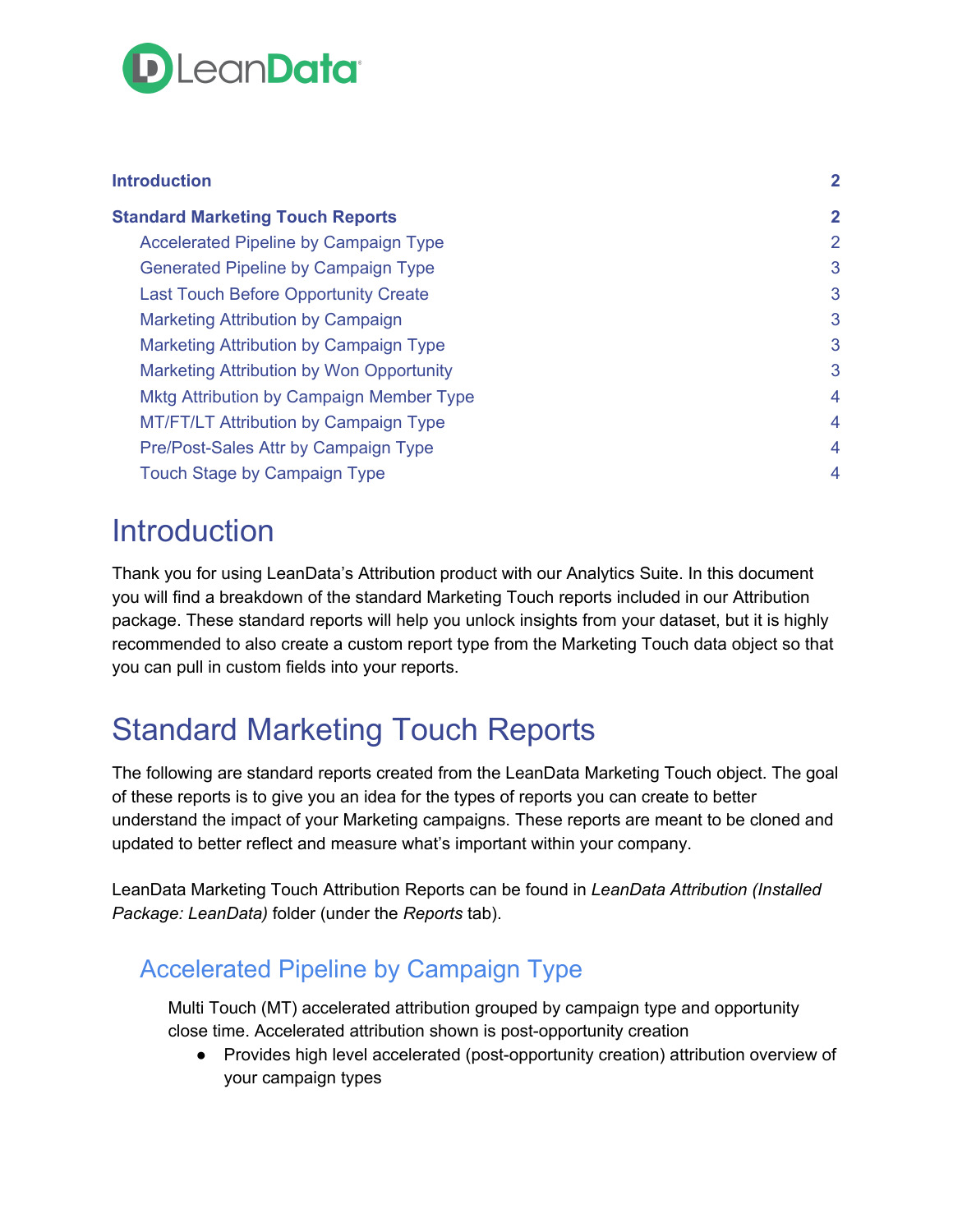

| <b>Introduction</b>                             | $\overline{2}$ |
|-------------------------------------------------|----------------|
| <b>Standard Marketing Touch Reports</b>         | $\mathbf{2}$   |
| <b>Accelerated Pipeline by Campaign Type</b>    | 2              |
| Generated Pipeline by Campaign Type             | 3              |
| <b>Last Touch Before Opportunity Create</b>     | 3              |
| <b>Marketing Attribution by Campaign</b>        | 3              |
| <b>Marketing Attribution by Campaign Type</b>   | 3              |
| Marketing Attribution by Won Opportunity        | 3              |
| <b>Mktg Attribution by Campaign Member Type</b> | $\overline{4}$ |
| <b>MT/FT/LT Attribution by Campaign Type</b>    | 4              |
| Pre/Post-Sales Attr by Campaign Type            | $\overline{4}$ |
| <b>Touch Stage by Campaign Type</b>             | $\overline{4}$ |

### <span id="page-1-0"></span>**Introduction**

Thank you for using LeanData's Attribution product with our Analytics Suite. In this document you will find a breakdown of the standard Marketing Touch reports included in our Attribution package. These standard reports will help you unlock insights from your dataset, but it is highly recommended to also create a custom report type from the Marketing Touch data object so that you can pull in custom fields into your reports.

## <span id="page-1-1"></span>Standard Marketing Touch Reports

The following are standard reports created from the LeanData Marketing Touch object. The goal of these reports is to give you an idea for the types of reports you can create to better understand the impact of your Marketing campaigns. These reports are meant to be cloned and updated to better reflect and measure what's important within your company.

LeanData Marketing Touch Attribution Reports can be found in *LeanData Attribution (Installed Package: LeanData)* folder (under the *Reports* tab).

#### <span id="page-1-2"></span>Accelerated Pipeline by Campaign Type

Multi Touch (MT) accelerated attribution grouped by campaign type and opportunity close time. Accelerated attribution shown is post-opportunity creation

● Provides high level accelerated (post-opportunity creation) attribution overview of your campaign types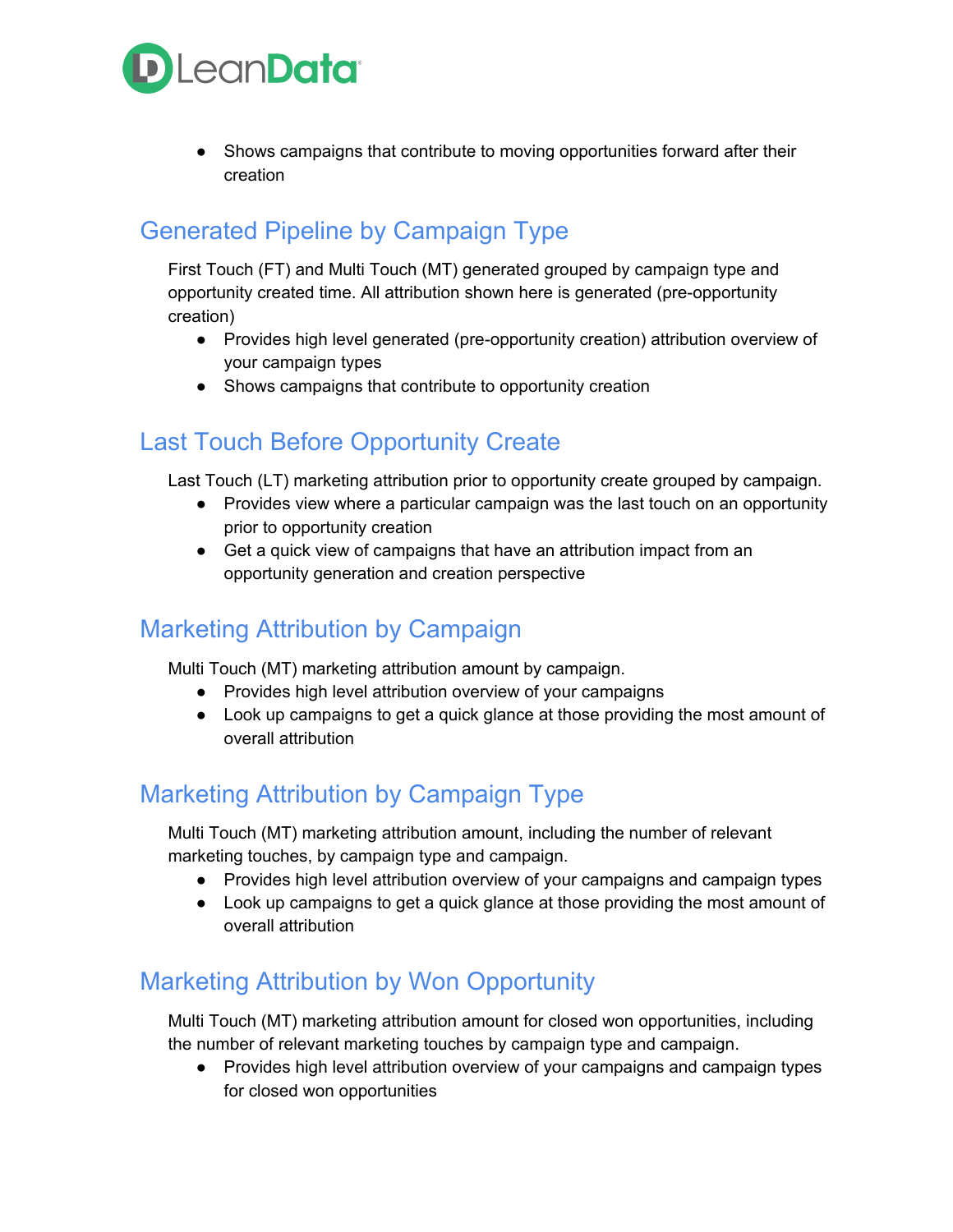

• Shows campaigns that contribute to moving opportunities forward after their creation

#### <span id="page-2-0"></span>Generated Pipeline by Campaign Type

First Touch (FT) and Multi Touch (MT) generated grouped by campaign type and opportunity created time. All attribution shown here is generated (pre-opportunity creation)

- Provides high level generated (pre-opportunity creation) attribution overview of your campaign types
- Shows campaigns that contribute to opportunity creation

#### <span id="page-2-1"></span>Last Touch Before Opportunity Create

Last Touch (LT) marketing attribution prior to opportunity create grouped by campaign.

- Provides view where a particular campaign was the last touch on an opportunity prior to opportunity creation
- Get a quick view of campaigns that have an attribution impact from an opportunity generation and creation perspective

#### <span id="page-2-2"></span>Marketing Attribution by Campaign

Multi Touch (MT) marketing attribution amount by campaign.

- Provides high level attribution overview of your campaigns
- Look up campaigns to get a quick glance at those providing the most amount of overall attribution

#### <span id="page-2-3"></span>Marketing Attribution by Campaign Type

Multi Touch (MT) marketing attribution amount, including the number of relevant marketing touches, by campaign type and campaign.

- Provides high level attribution overview of your campaigns and campaign types
- Look up campaigns to get a quick glance at those providing the most amount of overall attribution

#### <span id="page-2-4"></span>Marketing Attribution by Won Opportunity

Multi Touch (MT) marketing attribution amount for closed won opportunities, including the number of relevant marketing touches by campaign type and campaign.

• Provides high level attribution overview of your campaigns and campaign types for closed won opportunities